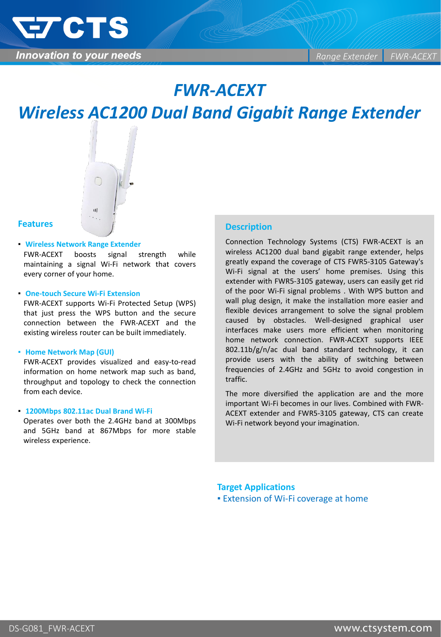

## *FWR-ACEXT*

# *Wireless AC1200 Dual Band Gigabit Range Extender*



## **Features**

▪ **Wireless Network Range Extender** FWR-ACEXT boosts signal strength while maintaining a signal Wi-Fi network that covers every corner of your home.

#### ▪ **One-touch Secure Wi-Fi Extension**

FWR-ACEXT supports Wi-Fi Protected Setup (WPS) that just press the WPS button and the secure connection between the FWR-ACEXT and the existing wireless router can be built immediately.

#### ▪ **Home Network Map (GUI)**

FWR-ACEXT provides visualized and easy-to-read information on home network map such as band, throughput and topology to check the connection from each device.

#### ▪ **1200Mbps 802.11ac Dual Brand Wi-Fi**

Operates over both the 2.4GHz band at 300Mbps and 5GHz band at 867Mbps for more stable wireless experience.

## **Description**

Connection Technology Systems (CTS) FWR-ACEXT is an wireless AC1200 dual band gigabit range extender, helps greatly expand the coverage of CTS FWR5-3105 Gateway's Wi-Fi signal at the users' home premises. Using this extender with FWR5-3105 gateway, users can easily get rid of the poor Wi-Fi signal problems . With WPS button and wall plug design, it make the installation more easier and flexible devices arrangement to solve the signal problem caused by obstacles. Well-designed graphical user interfaces make users more efficient when monitoring home network connection. FWR-ACEXT supports IEEE 802.11b/g/n/ac dual band standard technology, it can provide users with the ability of switching between frequencies of 2.4GHz and 5GHz to avoid congestion in traffic.

The more diversified the application are and the more important Wi-Fi becomes in our lives. Combined with FWR-ACEXT extender and FWR5-3105 gateway, CTS can create Wi-Fi network beyond your imagination.

## **Target Applications**

**Extension of Wi-Fi coverage at home**